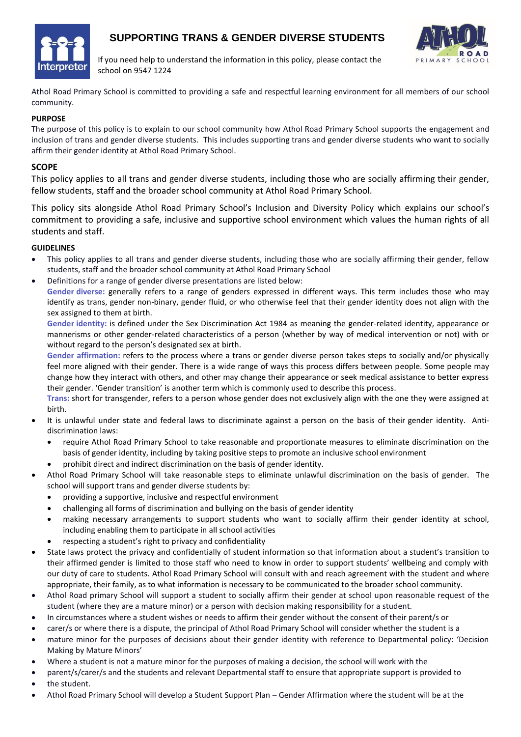

# **SUPPORTING TRANS & GENDER DIVERSE STUDENTS**



If you need help to understand the information in this policy, please contact the school on 9547 1224

Athol Road Primary School is committed to providing a safe and respectful learning environment for all members of our school community.

## **PURPOSE**

The purpose of this policy is to explain to our school community how Athol Road Primary School supports the engagement and inclusion of trans and gender diverse students. This includes supporting trans and gender diverse students who want to socially affirm their gender identity at Athol Road Primary School.

## **SCOPE**

This policy applies to all trans and gender diverse students, including those who are socially affirming their gender, fellow students, staff and the broader school community at Athol Road Primary School.

This policy sits alongside Athol Road Primary School's Inclusion and Diversity Policy which explains our school's commitment to providing a safe, inclusive and supportive school environment which values the human rights of all students and staff.

#### **GUIDELINES**

- This policy applies to all trans and gender diverse students, including those who are socially affirming their gender, fellow students, staff and the broader school community at Athol Road Primary School
- Definitions for a range of gender diverse presentations are listed below:

 **Gender diverse:** generally refers to a range of genders expressed in different ways. This term includes those who may identify as trans, gender non-binary, gender fluid, or who otherwise feel that their gender identity does not align with the sex assigned to them at birth.

 **Gender identity:** is defined under the Sex Discrimination Act 1984 as meaning the gender-related identity, appearance or mannerisms or other gender-related characteristics of a person (whether by way of medical intervention or not) with or without regard to the person's designated sex at birth.

**Gender affirmation:** refers to the process where a trans or gender diverse person takes steps to socially and/or physically feel more aligned with their gender. There is a wide range of ways this process differs between people. Some people may change how they interact with others, and other may change their appearance or seek medical assistance to better express their gender. 'Gender transition' is another term which is commonly used to describe this process.

**Trans:** short for transgender, refers to a person whose gender does not exclusively align with the one they were assigned at birth.

- It is unlawful under state and federal laws to discriminate against a person on the basis of their gender identity. Antidiscrimination laws:
	- require Athol Road Primary School to take reasonable and proportionate measures to eliminate discrimination on the basis of gender identity, including by taking positive steps to promote an inclusive school environment
		- prohibit direct and indirect discrimination on the basis of gender identity.
- Athol Road Primary School will take reasonable steps to eliminate unlawful discrimination on the basis of gender. The school will support trans and gender diverse students by:
	- providing a supportive, inclusive and respectful environment
	- challenging all forms of discrimination and bullying on the basis of gender identity
	- making necessary arrangements to support students who want to socially affirm their gender identity at school, including enabling them to participate in all school activities
	- respecting a student's right to privacy and confidentiality
- State laws protect the privacy and confidentially of student information so that information about a student's transition to their affirmed gender is limited to those staff who need to know in order to support students' wellbeing and comply with our duty of care to students. Athol Road Primary School will consult with and reach agreement with the student and where appropriate, their family, as to what information is necessary to be communicated to the broader school community.
- Athol Road primary School will support a student to socially affirm their gender at school upon reasonable request of the student (where they are a mature minor) or a person with decision making responsibility for a student.
- In circumstances where a student wishes or needs to affirm their gender without the consent of their parent/s or
- carer/s or where there is a dispute, the principal of Athol Road Primary School will consider whether the student is a
- mature minor for the purposes of decisions about their gender identity with reference to Departmental policy: 'Decision Making by Mature Minors'
- Where a student is not a mature minor for the purposes of making a decision, the school will work with the
- parent/s/carer/s and the students and relevant Departmental staff to ensure that appropriate support is provided to
- the student.
- Athol Road Primary School will develop a Student Support Plan Gender Affirmation where the student will be at the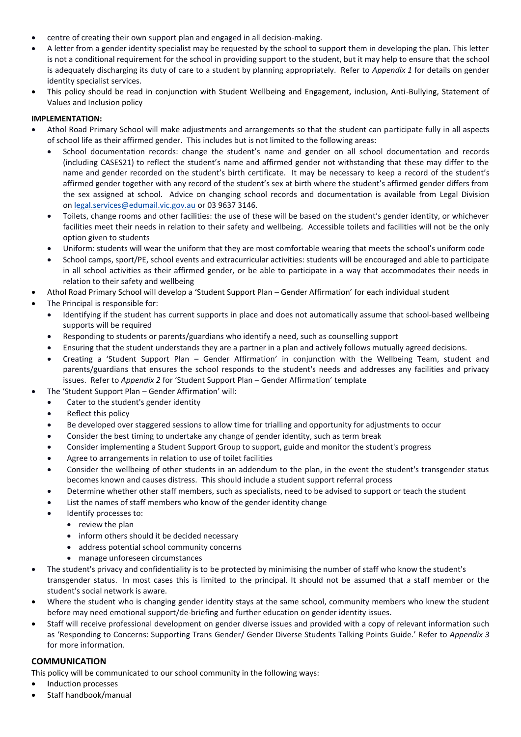- centre of creating their own support plan and engaged in all decision-making.
- A letter from a gender identity specialist may be requested by the school to support them in developing the plan. This letter is not a conditional requirement for the school in providing support to the student, but it may help to ensure that the school is adequately discharging its duty of care to a student by planning appropriately. Refer to *Appendix 1* for details on gender identity specialist services.
- This policy should be read in conjunction with Student Wellbeing and Engagement, inclusion, Anti-Bullying, Statement of Values and Inclusion policy

## **IMPLEMENTATION:**

- Athol Road Primary School will make adjustments and arrangements so that the student can participate fully in all aspects of school life as their affirmed gender. This includes but is not limited to the following areas:
	- School documentation records: change the student's name and gender on all school documentation and records (including CASES21) to reflect the student's name and affirmed gender not withstanding that these may differ to the name and gender recorded on the student's birth certificate. It may be necessary to keep a record of the student's affirmed gender together with any record of the student's sex at birth where the student's affirmed gender differs from the sex assigned at school. Advice on changing school records and documentation is available from Legal Division on [legal.services@edumail.vic.gov.au](mailto:legal.services@edumail.vic.gov.au) or 03 9637 3146.
	- Toilets, change rooms and other facilities: the use of these will be based on the student's gender identity, or whichever facilities meet their needs in relation to their safety and wellbeing. Accessible toilets and facilities will not be the only option given to students
	- Uniform: students will wear the uniform that they are most comfortable wearing that meets the school's uniform code
	- School camps, sport/PE, school events and extracurricular activities: students will be encouraged and able to participate in all school activities as their affirmed gender, or be able to participate in a way that accommodates their needs in relation to their safety and wellbeing
- Athol Road Primary School will develop a 'Student Support Plan Gender Affirmation' for each individual student
- The Principal is responsible for:
	- Identifying if the student has current supports in place and does not automatically assume that school-based wellbeing supports will be required
	- Responding to students or parents/guardians who identify a need, such as counselling support
	- Ensuring that the student understands they are a partner in a plan and actively follows mutually agreed decisions.
	- Creating a 'Student Support Plan Gender Affirmation' in conjunction with the Wellbeing Team, student and parents/guardians that ensures the school responds to the student's needs and addresses any facilities and privacy issues. Refer to *Appendix 2* for 'Student Support Plan – Gender Affirmation' template
- The 'Student Support Plan Gender Affirmation' will:
	- Cater to the student's gender identity
	- Reflect this policy
	- Be developed over staggered sessions to allow time for trialling and opportunity for adjustments to occur
	- Consider the best timing to undertake any change of gender identity, such as term break
	- Consider implementing a Student Support Group to support, guide and monitor the student's progress
	- Agree to arrangements in relation to use of toilet facilities
	- Consider the wellbeing of other students in an addendum to the plan, in the event the student's transgender status becomes known and causes distress. This should include a student support referral process
	- Determine whether other staff members, such as specialists, need to be advised to support or teach the student
	- List the names of staff members who know of the gender identity change
	- Identify processes to:
		- review the plan
		- inform others should it be decided necessary
		- address potential school community concerns
		- manage unforeseen circumstances
- The student's privacy and confidentiality is to be protected by minimising the number of staff who know the student's transgender status. In most cases this is limited to the principal. It should not be assumed that a staff member or the student's social network is aware.
- Where the student who is changing gender identity stays at the same school, community members who knew the student before may need emotional support/de-briefing and further education on gender identity issues.
- Staff will receive professional development on gender diverse issues and provided with a copy of relevant information such as 'Responding to Concerns: Supporting Trans Gender/ Gender Diverse Students Talking Points Guide.' Refer to *Appendix 3* for more information.

## **COMMUNICATION**

This policy will be communicated to our school community in the following ways:

- Induction processes
- Staff handbook/manual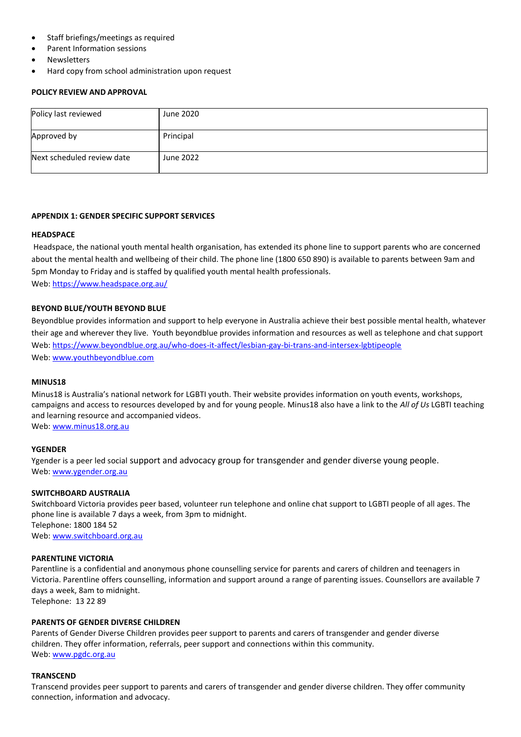- Staff briefings/meetings as required
- Parent Information sessions
- **Newsletters**
- Hard copy from school administration upon request

#### **POLICY REVIEW AND APPROVAL**

| Policy last reviewed       | June 2020 |
|----------------------------|-----------|
| Approved by                | Principal |
| Next scheduled review date | June 2022 |

#### **APPENDIX 1: GENDER SPECIFIC SUPPORT SERVICES**

#### **HEADSPACE**

Headspace, the national youth mental health organisation, has extended its phone line to support parents who are concerned about the mental health and wellbeing of their child. The phone line (1800 650 890) is available to parents between 9am and 5pm Monday to Friday and is staffed by qualified youth mental health professionals. Web:<https://www.headspace.org.au/>

#### **BEYOND BLUE/YOUTH BEYOND BLUE**

Beyondblue provides information and support to help everyone in Australia achieve their best possible mental health, whatever their age and wherever they live. Youth beyondblue provides information and resources as well as telephone and chat support Web:<https://www.beyondblue.org.au/who-does-it-affect/lesbian-gay-bi-trans-and-intersex-lgbtipeople> Web: www.youthbeyondblue.com

#### **MINUS18**

Minus18 is Australia's national network for LGBTI youth. Their website provides information on youth events, workshops, campaigns and access to resources developed by and for young people. Minus18 also have a link to the *All of Us* LGBTI teaching and learning resource and accompanied videos. Web: [www.minus18.org.au](http://www.minus18.org.au/)

#### **YGENDER**

Ygender is a peer led social support and advocacy group for transgender and gender diverse young people. Web: [www.ygender.org.au](http://www.ygender.org.au/)

#### **SWITCHBOARD AUSTRALIA**

Switchboard Victoria provides peer based, volunteer run telephone and online chat support to LGBTI people of all ages. The phone line is available 7 days a week, from 3pm to midnight. Telephone: 1800 184 52 Web: [www.switchboard.org.au](http://www.switchboard.org.au/)

#### **PARENTLINE VICTORIA**

Parentline is a confidential and anonymous phone counselling service for parents and carers of children and teenagers in Victoria. Parentline offers counselling, information and support around a range of parenting issues. Counsellors are available 7 days a week, 8am to midnight. Telephone: 13 22 89

#### **PARENTS OF GENDER DIVERSE CHILDREN**

Parents of Gender Diverse Children provides peer support to parents and carers of transgender and gender diverse children. They offer information, referrals, peer support and connections within this community. Web: [www.pgdc.org.au](http://www.pgdc.org.au/)

#### **TRANSCEND**

Transcend provides peer support to parents and carers of transgender and gender diverse children. They offer community connection, information and advocacy.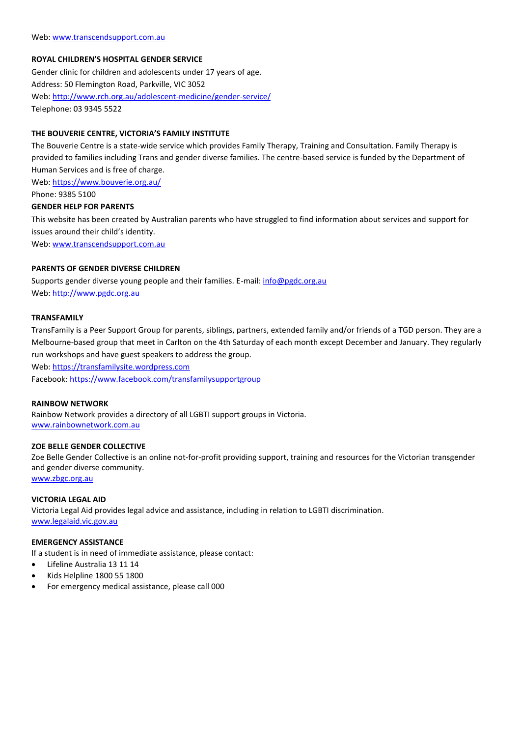## **ROYAL CHILDREN'S HOSPITAL GENDER SERVICE**

Gender clinic for children and adolescents under 17 years of age. Address: 50 Flemington Road, Parkville, VIC 3052 Web:<http://www.rch.org.au/adolescent-medicine/gender-service/> Telephone: 03 9345 5522

#### **THE BOUVERIE CENTRE, VICTORIA'S FAMILY INSTITUTE**

The Bouverie Centre is a state-wide service which provides Family Therapy, Training and Consultation. Family Therapy is provided to families including Trans and gender diverse families. The centre-based service is funded by the Department of Human Services and is free of charge.

Web:<https://www.bouverie.org.au/>

Phone: 9385 5100

#### **GENDER HELP FOR PARENTS**

This website has been created by Australian parents who have struggled to find information about services and support for issues around their child's identity.

Web: [www.transcendsupport.com.au](http://www.transcendsupport.com.au/)

#### **PARENTS OF GENDER DIVERSE CHILDREN**

Supports gender diverse young people and their families. E-mail[: info@pgdc.org.au](mailto:info@pgdc.org.au) Web: [http://www.pgdc.org.au](http://www.pgdc.org.au/)

#### **TRANSFAMILY**

TransFamily is a Peer Support Group for parents, siblings, partners, extended family and/or friends of a TGD person. They are a Melbourne-based group that meet in Carlton on the 4th Saturday of each month except December and January. They regularly run workshops and have guest speakers to address the group.

Web: [https://transfamilysite.wordpress.com](https://transfamilysite.wordpress.com/)

Facebook:<https://www.facebook.com/transfamilysupportgroup>

#### **RAINBOW NETWORK**

Rainbow Network provides a directory of all LGBTI support groups in Victoria. [www.rainbownetwork.com.au](http://www.rainbownetwork.com.au/)

#### **ZOE BELLE GENDER COLLECTIVE**

Zoe Belle Gender Collective is an online not-for-profit providing support, training and resources for the Victorian transgender and gender diverse community. [www.zbgc.org.au](http://www.zbgc.org.au/)

**VICTORIA LEGAL AID**

Victoria Legal Aid provides legal advice and assistance, including in relation to LGBTI discrimination. [www.legalaid.vic.gov.au](http://www.legalaid.vic.gov.au/)

#### **EMERGENCY ASSISTANCE**

If a student is in need of immediate assistance, please contact:

- Lifeline Australia 13 11 14
- Kids Helpline 1800 55 1800
- For emergency medical assistance, please call 000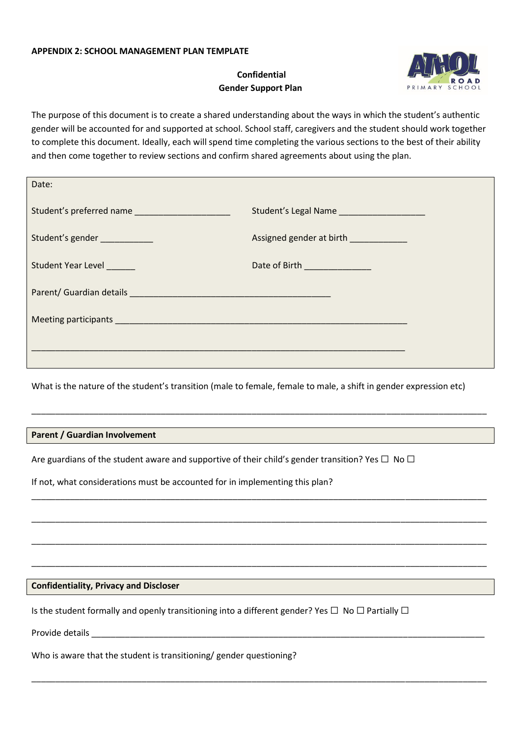## **APPENDIX 2: SCHOOL MANAGEMENT PLAN TEMPLATE**

# **Confidential Gender Support Plan**



The purpose of this document is to create a shared understanding about the ways in which the student's authentic gender will be accounted for and supported at school. School staff, caregivers and the student should work together to complete this document. Ideally, each will spend time completing the various sections to the best of their ability and then come together to review sections and confirm shared agreements about using the plan.

| Date:                        |                                                          |
|------------------------------|----------------------------------------------------------|
| Student's preferred name     | Student's Legal Name ____________________                |
| Student's gender ___________ | Assigned gender at birth <b>Assigned</b> gender at birth |
| Student Year Level           | Date of Birth ______________                             |
|                              |                                                          |
|                              |                                                          |
|                              |                                                          |
|                              |                                                          |

What is the nature of the student's transition (male to female, female to male, a shift in gender expression etc)

\_\_\_\_\_\_\_\_\_\_\_\_\_\_\_\_\_\_\_\_\_\_\_\_\_\_\_\_\_\_\_\_\_\_\_\_\_\_\_\_\_\_\_\_\_\_\_\_\_\_\_\_\_\_\_\_\_\_\_\_\_\_\_\_\_\_\_\_\_\_\_\_\_\_\_\_\_\_\_\_\_\_\_\_\_\_\_\_\_\_\_\_\_\_\_

\_\_\_\_\_\_\_\_\_\_\_\_\_\_\_\_\_\_\_\_\_\_\_\_\_\_\_\_\_\_\_\_\_\_\_\_\_\_\_\_\_\_\_\_\_\_\_\_\_\_\_\_\_\_\_\_\_\_\_\_\_\_\_\_\_\_\_\_\_\_\_\_\_\_\_\_\_\_\_\_\_\_\_\_\_\_\_\_\_\_\_\_\_\_\_

\_\_\_\_\_\_\_\_\_\_\_\_\_\_\_\_\_\_\_\_\_\_\_\_\_\_\_\_\_\_\_\_\_\_\_\_\_\_\_\_\_\_\_\_\_\_\_\_\_\_\_\_\_\_\_\_\_\_\_\_\_\_\_\_\_\_\_\_\_\_\_\_\_\_\_\_\_\_\_\_\_\_\_\_\_\_\_\_\_\_\_\_\_\_\_

\_\_\_\_\_\_\_\_\_\_\_\_\_\_\_\_\_\_\_\_\_\_\_\_\_\_\_\_\_\_\_\_\_\_\_\_\_\_\_\_\_\_\_\_\_\_\_\_\_\_\_\_\_\_\_\_\_\_\_\_\_\_\_\_\_\_\_\_\_\_\_\_\_\_\_\_\_\_\_\_\_\_\_\_\_\_\_\_\_\_\_\_\_\_\_

\_\_\_\_\_\_\_\_\_\_\_\_\_\_\_\_\_\_\_\_\_\_\_\_\_\_\_\_\_\_\_\_\_\_\_\_\_\_\_\_\_\_\_\_\_\_\_\_\_\_\_\_\_\_\_\_\_\_\_\_\_\_\_\_\_\_\_\_\_\_\_\_\_\_\_\_\_\_\_\_\_\_\_\_\_\_\_\_\_\_\_\_\_\_\_

\_\_\_\_\_\_\_\_\_\_\_\_\_\_\_\_\_\_\_\_\_\_\_\_\_\_\_\_\_\_\_\_\_\_\_\_\_\_\_\_\_\_\_\_\_\_\_\_\_\_\_\_\_\_\_\_\_\_\_\_\_\_\_\_\_\_\_\_\_\_\_\_\_\_\_\_\_\_\_\_\_\_\_\_\_\_\_\_\_\_\_\_\_\_\_

## **Parent / Guardian Involvement**

Are guardians of the student aware and supportive of their child's gender transition? Yes  $\Box$  No  $\Box$ 

If not, what considerations must be accounted for in implementing this plan?

#### **Confidentiality, Privacy and Discloser**

Is the student formally and openly transitioning into a different gender? Yes  $\Box$  No  $\Box$  Partially  $\Box$ 

Provide details **Exercise 20** 

Who is aware that the student is transitioning/ gender questioning?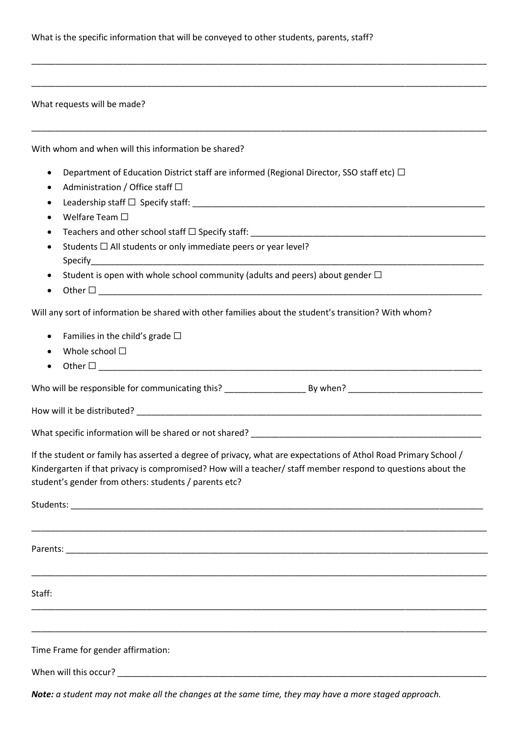#### What requests will be made?

With whom and when will this information be shared?

Department of Education District staff are informed (Regional Director, SSO staff etc)  $\Box$ 

\_\_\_\_\_\_\_\_\_\_\_\_\_\_\_\_\_\_\_\_\_\_\_\_\_\_\_\_\_\_\_\_\_\_\_\_\_\_\_\_\_\_\_\_\_\_\_\_\_\_\_\_\_\_\_\_\_\_\_\_\_\_\_\_\_\_\_\_\_\_\_\_\_\_\_\_\_\_\_\_\_\_\_\_\_\_\_\_\_\_\_\_\_\_\_

\_\_\_\_\_\_\_\_\_\_\_\_\_\_\_\_\_\_\_\_\_\_\_\_\_\_\_\_\_\_\_\_\_\_\_\_\_\_\_\_\_\_\_\_\_\_\_\_\_\_\_\_\_\_\_\_\_\_\_\_\_\_\_\_\_\_\_\_\_\_\_\_\_\_\_\_\_\_\_\_\_\_\_\_\_\_\_\_\_\_\_\_\_\_\_

\_\_\_\_\_\_\_\_\_\_\_\_\_\_\_\_\_\_\_\_\_\_\_\_\_\_\_\_\_\_\_\_\_\_\_\_\_\_\_\_\_\_\_\_\_\_\_\_\_\_\_\_\_\_\_\_\_\_\_\_\_\_\_\_\_\_\_\_\_\_\_\_\_\_\_\_\_\_\_\_\_\_\_\_\_\_\_\_\_\_\_\_\_\_\_

- Administration / Office staff  $\square$
- Leadership staff  $\Box$  Specify staff:
- Welfare Team ☐
- Teachers and other school staff  $\Box$  Specify staff:
- Students □ All students or only immediate peers or year level? Specify
- Student is open with whole school community (adults and peers) about gender  $\Box$
- Other  $\Box$

Will any sort of information be shared with other families about the student's transition? With whom?

- Families in the child's grade  $\Box$
- Whole school ☐
- Other ☐ \_\_\_\_\_\_\_\_\_\_\_\_\_\_\_\_\_\_\_\_\_\_\_\_\_\_\_\_\_\_\_\_\_\_\_\_\_\_\_\_\_\_\_\_\_\_\_\_\_\_\_\_\_\_\_\_\_\_\_\_\_\_\_\_\_\_\_\_\_\_\_\_\_\_\_\_\_\_\_\_

Who will be responsible for communicating this? \_\_\_\_\_\_\_\_\_\_\_\_\_\_\_\_\_ By when? \_\_\_\_\_\_\_\_\_\_\_\_\_\_\_\_\_\_\_\_\_\_\_\_\_\_\_\_

How will it be distributed? \_\_\_\_\_\_\_\_\_\_\_\_\_\_\_\_\_\_\_\_\_\_\_\_\_\_\_\_\_\_\_\_\_\_\_\_\_\_\_\_\_\_\_\_\_\_\_\_\_\_\_\_\_\_\_\_\_\_\_\_\_\_\_\_\_\_\_\_\_\_\_\_

What specific information will be shared or not shared? \_\_\_\_\_\_\_\_\_\_\_\_\_\_\_\_\_\_\_\_\_\_\_\_\_

If the student or family has asserted a degree of privacy, what are expectations of Athol Road Primary School / Kindergarten if that privacy is compromised? How will a teacher/ staff member respond to questions about the student's gender from others: students / parents etc?

| Staff:                             |  |
|------------------------------------|--|
|                                    |  |
| Time Frame for gender affirmation: |  |
| When will this occur?              |  |

*Note: a student may not make all the changes at the same time, they may have a more staged approach.*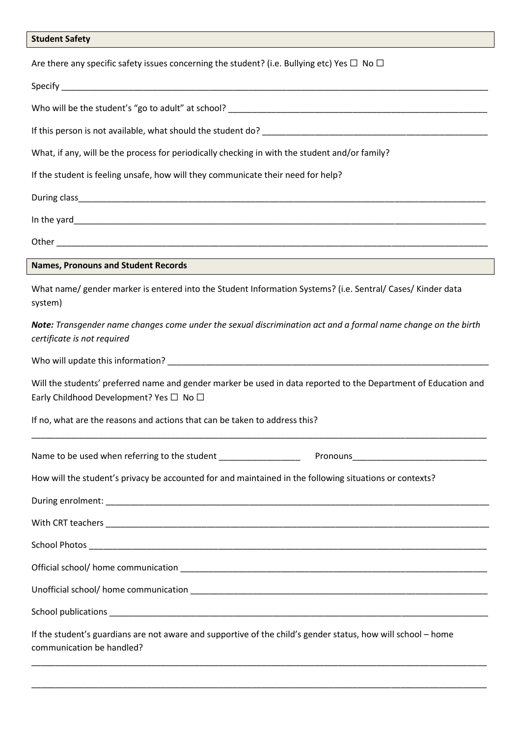| <b>Student Safety</b> |  |
|-----------------------|--|
|-----------------------|--|

| Are there any specific safety issues concerning the student? (i.e. Bullying etc) Yes $\Box$ No $\Box$                                                                |  |  |  |  |
|----------------------------------------------------------------------------------------------------------------------------------------------------------------------|--|--|--|--|
|                                                                                                                                                                      |  |  |  |  |
|                                                                                                                                                                      |  |  |  |  |
|                                                                                                                                                                      |  |  |  |  |
| What, if any, will be the process for periodically checking in with the student and/or family?                                                                       |  |  |  |  |
| If the student is feeling unsafe, how will they communicate their need for help?                                                                                     |  |  |  |  |
|                                                                                                                                                                      |  |  |  |  |
|                                                                                                                                                                      |  |  |  |  |
|                                                                                                                                                                      |  |  |  |  |
| <b>Names, Pronouns and Student Records</b>                                                                                                                           |  |  |  |  |
| What name/ gender marker is entered into the Student Information Systems? (i.e. Sentral/ Cases/ Kinder data<br>system)                                               |  |  |  |  |
| Note: Transgender name changes come under the sexual discrimination act and a formal name change on the birth<br>certificate is not required                         |  |  |  |  |
|                                                                                                                                                                      |  |  |  |  |
| Will the students' preferred name and gender marker be used in data reported to the Department of Education and<br>Early Childhood Development? Yes $\Box$ No $\Box$ |  |  |  |  |
| If no, what are the reasons and actions that can be taken to address this?                                                                                           |  |  |  |  |
|                                                                                                                                                                      |  |  |  |  |
| How will the student's privacy be accounted for and maintained in the following situations or contexts?                                                              |  |  |  |  |
|                                                                                                                                                                      |  |  |  |  |
|                                                                                                                                                                      |  |  |  |  |
|                                                                                                                                                                      |  |  |  |  |
|                                                                                                                                                                      |  |  |  |  |
|                                                                                                                                                                      |  |  |  |  |
|                                                                                                                                                                      |  |  |  |  |
| If the student's guardians are not aware and supportive of the child's gender status, how will school - home<br>communication be handled?                            |  |  |  |  |

\_\_\_\_\_\_\_\_\_\_\_\_\_\_\_\_\_\_\_\_\_\_\_\_\_\_\_\_\_\_\_\_\_\_\_\_\_\_\_\_\_\_\_\_\_\_\_\_\_\_\_\_\_\_\_\_\_\_\_\_\_\_\_\_\_\_\_\_\_\_\_\_\_\_\_\_\_\_\_\_\_\_\_\_\_\_\_\_\_\_\_\_\_\_\_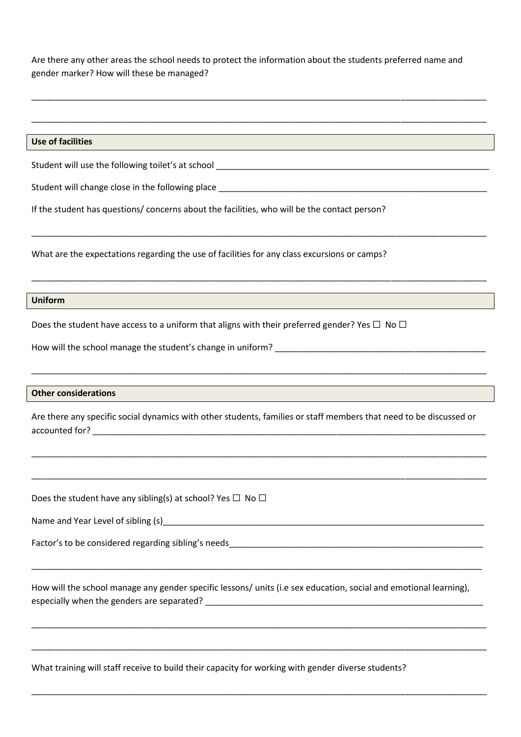Are there any other areas the school needs to protect the information about the students preferred name and gender marker? How will these be managed?

\_\_\_\_\_\_\_\_\_\_\_\_\_\_\_\_\_\_\_\_\_\_\_\_\_\_\_\_\_\_\_\_\_\_\_\_\_\_\_\_\_\_\_\_\_\_\_\_\_\_\_\_\_\_\_\_\_\_\_\_\_\_\_\_\_\_\_\_\_\_\_\_\_\_\_\_\_\_\_\_\_\_\_\_\_\_\_\_\_\_\_\_\_\_\_

\_\_\_\_\_\_\_\_\_\_\_\_\_\_\_\_\_\_\_\_\_\_\_\_\_\_\_\_\_\_\_\_\_\_\_\_\_\_\_\_\_\_\_\_\_\_\_\_\_\_\_\_\_\_\_\_\_\_\_\_\_\_\_\_\_\_\_\_\_\_\_\_\_\_\_\_\_\_\_\_\_\_\_\_\_\_\_\_\_\_\_\_\_\_\_

| <b>Use of facilities</b>                                                                                                                                                                                                                                     |  |  |  |  |
|--------------------------------------------------------------------------------------------------------------------------------------------------------------------------------------------------------------------------------------------------------------|--|--|--|--|
|                                                                                                                                                                                                                                                              |  |  |  |  |
|                                                                                                                                                                                                                                                              |  |  |  |  |
| If the student has questions/ concerns about the facilities, who will be the contact person?                                                                                                                                                                 |  |  |  |  |
| What are the expectations regarding the use of facilities for any class excursions or camps?                                                                                                                                                                 |  |  |  |  |
| ,我们也不会有什么。""我们的人,我们也不会有什么?""我们的人,我们也不会有什么?""我们的人,我们也不会有什么?""我们的人,我们也不会有什么?""我们的人<br><b>Uniform</b>                                                                                                                                                           |  |  |  |  |
| Does the student have access to a uniform that aligns with their preferred gender? Yes $\Box$ No $\Box$                                                                                                                                                      |  |  |  |  |
|                                                                                                                                                                                                                                                              |  |  |  |  |
|                                                                                                                                                                                                                                                              |  |  |  |  |
| ,我们也不会有什么。""我们的人,我们也不会有什么?""我们的人,我们也不会有什么?""我们的人,我们也不会有什么?""我们的人,我们也不会有什么?""我们的人<br><b>Other considerations</b><br>,我们也不能在这里的时候,我们也不能在这里的时候,我们也不能会不能会不能会不能会不能会不能会不能会不能会。<br>第2012章 我们的时候,我们的时候,我们的时候,我们的时候,我们的时候,我们的时候,我们的时候,我们的时候,我们的时候,我们的时候,我们的时候,我们的时候,我 |  |  |  |  |
| Are there any specific social dynamics with other students, families or staff members that need to be discussed or                                                                                                                                           |  |  |  |  |
|                                                                                                                                                                                                                                                              |  |  |  |  |
|                                                                                                                                                                                                                                                              |  |  |  |  |
| Does the student have any sibling(s) at school? Yes $\Box$ No $\Box$                                                                                                                                                                                         |  |  |  |  |
| Name and Year Level of sibling (s)                                                                                                                                                                                                                           |  |  |  |  |
|                                                                                                                                                                                                                                                              |  |  |  |  |
|                                                                                                                                                                                                                                                              |  |  |  |  |
| How will the school manage any gender specific lessons/ units (i.e sex education, social and emotional learning),                                                                                                                                            |  |  |  |  |
|                                                                                                                                                                                                                                                              |  |  |  |  |
|                                                                                                                                                                                                                                                              |  |  |  |  |

What training will staff receive to build their capacity for working with gender diverse students?

\_\_\_\_\_\_\_\_\_\_\_\_\_\_\_\_\_\_\_\_\_\_\_\_\_\_\_\_\_\_\_\_\_\_\_\_\_\_\_\_\_\_\_\_\_\_\_\_\_\_\_\_\_\_\_\_\_\_\_\_\_\_\_\_\_\_\_\_\_\_\_\_\_\_\_\_\_\_\_\_\_\_\_\_\_\_\_\_\_\_\_\_\_\_\_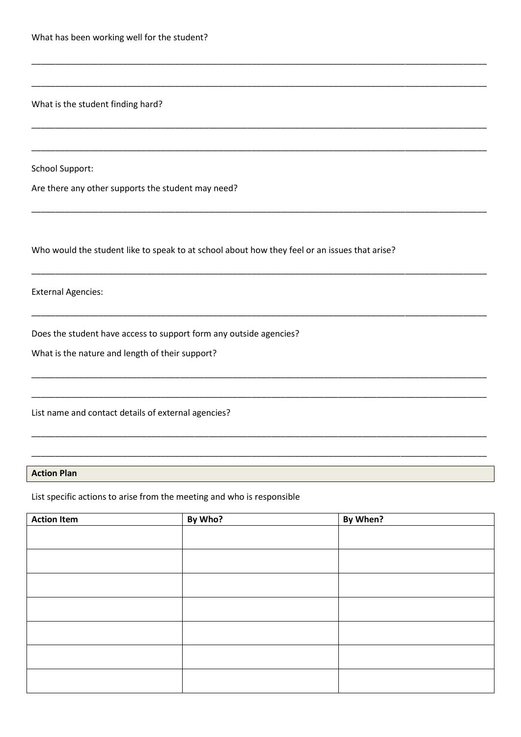What is the student finding hard?

**School Support:** 

Are there any other supports the student may need?

Who would the student like to speak to at school about how they feel or an issues that arise?

**External Agencies:** 

Does the student have access to support form any outside agencies?

What is the nature and length of their support?

List name and contact details of external agencies?

## **Action Plan**

List specific actions to arise from the meeting and who is responsible

| <b>Action Item</b> | By Who? | By When? |
|--------------------|---------|----------|
|                    |         |          |
|                    |         |          |
|                    |         |          |
|                    |         |          |
|                    |         |          |
|                    |         |          |
|                    |         |          |
|                    |         |          |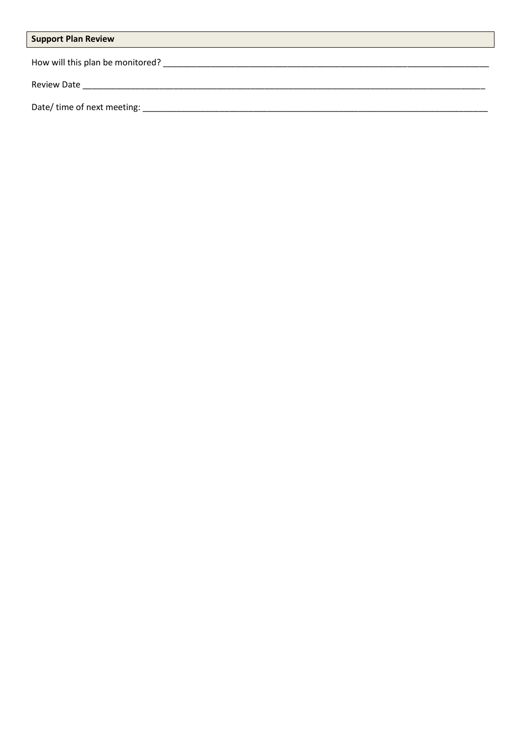# **Support Plan Review**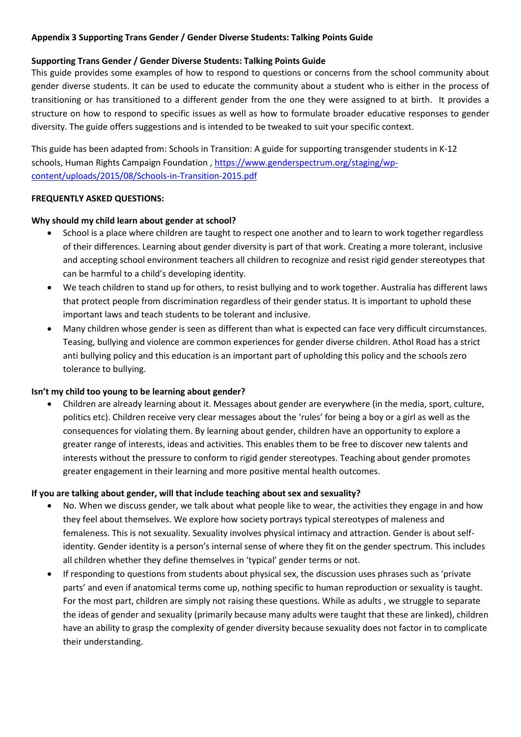## **Appendix 3 Supporting Trans Gender / Gender Diverse Students: Talking Points Guide**

## **Supporting Trans Gender / Gender Diverse Students: Talking Points Guide**

This guide provides some examples of how to respond to questions or concerns from the school community about gender diverse students. It can be used to educate the community about a student who is either in the process of transitioning or has transitioned to a different gender from the one they were assigned to at birth. It provides a structure on how to respond to specific issues as well as how to formulate broader educative responses to gender diversity. The guide offers suggestions and is intended to be tweaked to suit your specific context.

This guide has been adapted from: Schools in Transition: A guide for supporting transgender students in K-12 schools, Human Rights Campaign Foundation , [https://www.genderspectrum.org/staging/wp](https://www.genderspectrum.org/staging/wp-content/uploads/2015/08/Schools-in-Transition-2015.pdf)[content/uploads/2015/08/Schools-in-Transition-2015.pdf](https://www.genderspectrum.org/staging/wp-content/uploads/2015/08/Schools-in-Transition-2015.pdf)

## **FREQUENTLY ASKED QUESTIONS:**

## **Why should my child learn about gender at school?**

- School is a place where children are taught to respect one another and to learn to work together regardless of their differences. Learning about gender diversity is part of that work. Creating a more tolerant, inclusive and accepting school environment teachers all children to recognize and resist rigid gender stereotypes that can be harmful to a child's developing identity.
- We teach children to stand up for others, to resist bullying and to work together. Australia has different laws that protect people from discrimination regardless of their gender status. It is important to uphold these important laws and teach students to be tolerant and inclusive.
- Many children whose gender is seen as different than what is expected can face very difficult circumstances. Teasing, bullying and violence are common experiences for gender diverse children. Athol Road has a strict anti bullying policy and this education is an important part of upholding this policy and the schools zero tolerance to bullying.

## **Isn't my child too young to be learning about gender?**

• Children are already learning about it. Messages about gender are everywhere (in the media, sport, culture, politics etc). Children receive very clear messages about the 'rules' for being a boy or a girl as well as the consequences for violating them. By learning about gender, children have an opportunity to explore a greater range of interests, ideas and activities. This enables them to be free to discover new talents and interests without the pressure to conform to rigid gender stereotypes. Teaching about gender promotes greater engagement in their learning and more positive mental health outcomes.

## **If you are talking about gender, will that include teaching about sex and sexuality?**

- No. When we discuss gender, we talk about what people like to wear, the activities they engage in and how they feel about themselves. We explore how society portrays typical stereotypes of maleness and femaleness. This is not sexuality. Sexuality involves physical intimacy and attraction. Gender is about selfidentity. Gender identity is a person's internal sense of where they fit on the gender spectrum. This includes all children whether they define themselves in 'typical' gender terms or not.
- If responding to questions from students about physical sex, the discussion uses phrases such as 'private parts' and even if anatomical terms come up, nothing specific to human reproduction or sexuality is taught. For the most part, children are simply not raising these questions. While as adults , we struggle to separate the ideas of gender and sexuality (primarily because many adults were taught that these are linked), children have an ability to grasp the complexity of gender diversity because sexuality does not factor in to complicate their understanding.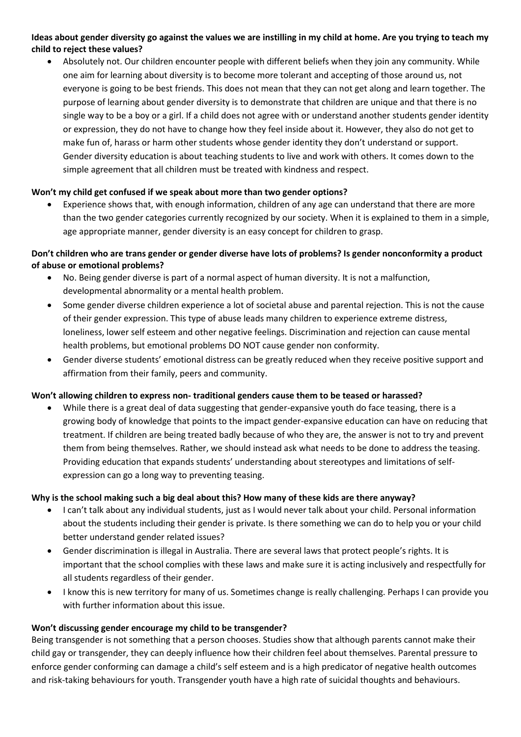## **Ideas about gender diversity go against the values we are instilling in my child at home. Are you trying to teach my child to reject these values?**

• Absolutely not. Our children encounter people with different beliefs when they join any community. While one aim for learning about diversity is to become more tolerant and accepting of those around us, not everyone is going to be best friends. This does not mean that they can not get along and learn together. The purpose of learning about gender diversity is to demonstrate that children are unique and that there is no single way to be a boy or a girl. If a child does not agree with or understand another students gender identity or expression, they do not have to change how they feel inside about it. However, they also do not get to make fun of, harass or harm other students whose gender identity they don't understand or support. Gender diversity education is about teaching students to live and work with others. It comes down to the simple agreement that all children must be treated with kindness and respect.

## **Won't my child get confused if we speak about more than two gender options?**

• Experience shows that, with enough information, children of any age can understand that there are more than the two gender categories currently recognized by our society. When it is explained to them in a simple, age appropriate manner, gender diversity is an easy concept for children to grasp.

## **Don't children who are trans gender or gender diverse have lots of problems? Is gender nonconformity a product of abuse or emotional problems?**

- No. Being gender diverse is part of a normal aspect of human diversity. It is not a malfunction, developmental abnormality or a mental health problem.
- Some gender diverse children experience a lot of societal abuse and parental rejection. This is not the cause of their gender expression. This type of abuse leads many children to experience extreme distress, loneliness, lower self esteem and other negative feelings. Discrimination and rejection can cause mental health problems, but emotional problems DO NOT cause gender non conformity.
- Gender diverse students' emotional distress can be greatly reduced when they receive positive support and affirmation from their family, peers and community.

## **Won't allowing children to express non- traditional genders cause them to be teased or harassed?**

• While there is a great deal of data suggesting that gender-expansive youth do face teasing, there is a growing body of knowledge that points to the impact gender-expansive education can have on reducing that treatment. If children are being treated badly because of who they are, the answer is not to try and prevent them from being themselves. Rather, we should instead ask what needs to be done to address the teasing. Providing education that expands students' understanding about stereotypes and limitations of selfexpression can go a long way to preventing teasing.

## **Why is the school making such a big deal about this? How many of these kids are there anyway?**

- I can't talk about any individual students, just as I would never talk about your child. Personal information about the students including their gender is private. Is there something we can do to help you or your child better understand gender related issues?
- Gender discrimination is illegal in Australia. There are several laws that protect people's rights. It is important that the school complies with these laws and make sure it is acting inclusively and respectfully for all students regardless of their gender.
- I know this is new territory for many of us. Sometimes change is really challenging. Perhaps I can provide you with further information about this issue.

## **Won't discussing gender encourage my child to be transgender?**

Being transgender is not something that a person chooses. Studies show that although parents cannot make their child gay or transgender, they can deeply influence how their children feel about themselves. Parental pressure to enforce gender conforming can damage a child's self esteem and is a high predicator of negative health outcomes and risk-taking behaviours for youth. Transgender youth have a high rate of suicidal thoughts and behaviours.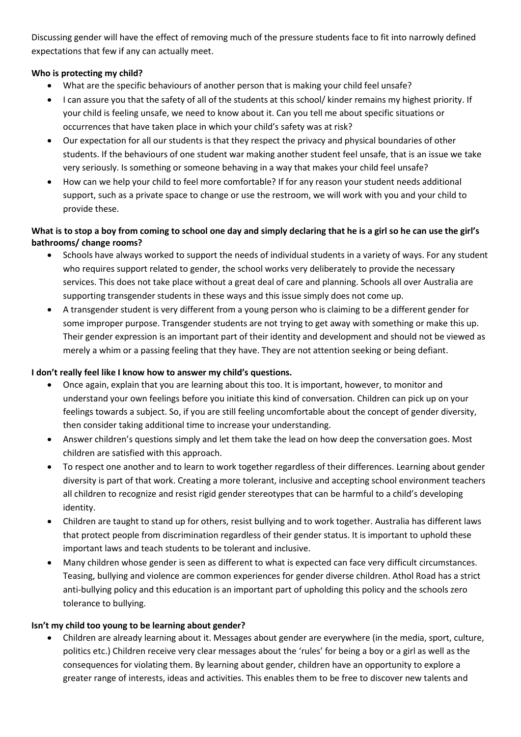Discussing gender will have the effect of removing much of the pressure students face to fit into narrowly defined expectations that few if any can actually meet.

# **Who is protecting my child?**

- What are the specific behaviours of another person that is making your child feel unsafe?
- I can assure you that the safety of all of the students at this school/ kinder remains my highest priority. If your child is feeling unsafe, we need to know about it. Can you tell me about specific situations or occurrences that have taken place in which your child's safety was at risk?
- Our expectation for all our students is that they respect the privacy and physical boundaries of other students. If the behaviours of one student war making another student feel unsafe, that is an issue we take very seriously. Is something or someone behaving in a way that makes your child feel unsafe?
- How can we help your child to feel more comfortable? If for any reason your student needs additional support, such as a private space to change or use the restroom, we will work with you and your child to provide these.

# **What is to stop a boy from coming to school one day and simply declaring that he is a girl so he can use the girl's bathrooms/ change rooms?**

- Schools have always worked to support the needs of individual students in a variety of ways. For any student who requires support related to gender, the school works very deliberately to provide the necessary services. This does not take place without a great deal of care and planning. Schools all over Australia are supporting transgender students in these ways and this issue simply does not come up.
- A transgender student is very different from a young person who is claiming to be a different gender for some improper purpose. Transgender students are not trying to get away with something or make this up. Their gender expression is an important part of their identity and development and should not be viewed as merely a whim or a passing feeling that they have. They are not attention seeking or being defiant.

# **I don't really feel like I know how to answer my child's questions.**

- Once again, explain that you are learning about this too. It is important, however, to monitor and understand your own feelings before you initiate this kind of conversation. Children can pick up on your feelings towards a subject. So, if you are still feeling uncomfortable about the concept of gender diversity, then consider taking additional time to increase your understanding.
- Answer children's questions simply and let them take the lead on how deep the conversation goes. Most children are satisfied with this approach.
- To respect one another and to learn to work together regardless of their differences. Learning about gender diversity is part of that work. Creating a more tolerant, inclusive and accepting school environment teachers all children to recognize and resist rigid gender stereotypes that can be harmful to a child's developing identity.
- Children are taught to stand up for others, resist bullying and to work together. Australia has different laws that protect people from discrimination regardless of their gender status. It is important to uphold these important laws and teach students to be tolerant and inclusive.
- Many children whose gender is seen as different to what is expected can face very difficult circumstances. Teasing, bullying and violence are common experiences for gender diverse children. Athol Road has a strict anti-bullying policy and this education is an important part of upholding this policy and the schools zero tolerance to bullying.

## **Isn't my child too young to be learning about gender?**

• Children are already learning about it. Messages about gender are everywhere (in the media, sport, culture, politics etc.) Children receive very clear messages about the 'rules' for being a boy or a girl as well as the consequences for violating them. By learning about gender, children have an opportunity to explore a greater range of interests, ideas and activities. This enables them to be free to discover new talents and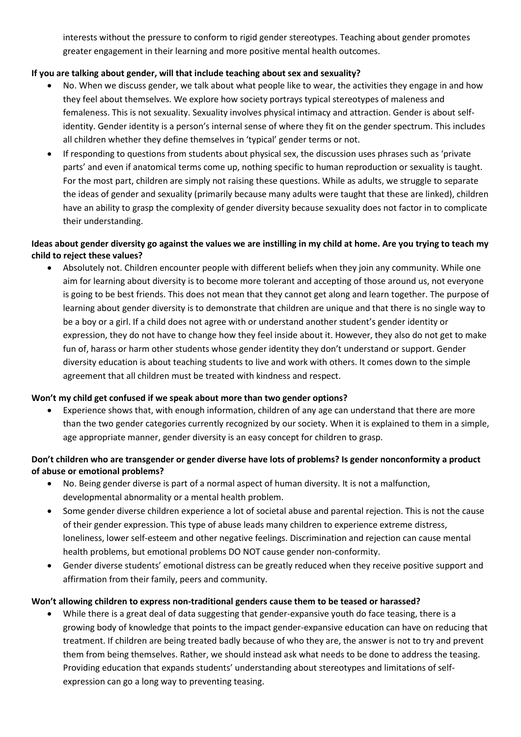interests without the pressure to conform to rigid gender stereotypes. Teaching about gender promotes greater engagement in their learning and more positive mental health outcomes.

# **If you are talking about gender, will that include teaching about sex and sexuality?**

- No. When we discuss gender, we talk about what people like to wear, the activities they engage in and how they feel about themselves. We explore how society portrays typical stereotypes of maleness and femaleness. This is not sexuality. Sexuality involves physical intimacy and attraction. Gender is about selfidentity. Gender identity is a person's internal sense of where they fit on the gender spectrum. This includes all children whether they define themselves in 'typical' gender terms or not.
- If responding to questions from students about physical sex, the discussion uses phrases such as 'private parts' and even if anatomical terms come up, nothing specific to human reproduction or sexuality is taught. For the most part, children are simply not raising these questions. While as adults, we struggle to separate the ideas of gender and sexuality (primarily because many adults were taught that these are linked), children have an ability to grasp the complexity of gender diversity because sexuality does not factor in to complicate their understanding.

# **Ideas about gender diversity go against the values we are instilling in my child at home. Are you trying to teach my child to reject these values?**

• Absolutely not. Children encounter people with different beliefs when they join any community. While one aim for learning about diversity is to become more tolerant and accepting of those around us, not everyone is going to be best friends. This does not mean that they cannot get along and learn together. The purpose of learning about gender diversity is to demonstrate that children are unique and that there is no single way to be a boy or a girl. If a child does not agree with or understand another student's gender identity or expression, they do not have to change how they feel inside about it. However, they also do not get to make fun of, harass or harm other students whose gender identity they don't understand or support. Gender diversity education is about teaching students to live and work with others. It comes down to the simple agreement that all children must be treated with kindness and respect.

## **Won't my child get confused if we speak about more than two gender options?**

• Experience shows that, with enough information, children of any age can understand that there are more than the two gender categories currently recognized by our society. When it is explained to them in a simple, age appropriate manner, gender diversity is an easy concept for children to grasp.

# **Don't children who are transgender or gender diverse have lots of problems? Is gender nonconformity a product of abuse or emotional problems?**

- No. Being gender diverse is part of a normal aspect of human diversity. It is not a malfunction, developmental abnormality or a mental health problem.
- Some gender diverse children experience a lot of societal abuse and parental rejection. This is not the cause of their gender expression. This type of abuse leads many children to experience extreme distress, loneliness, lower self-esteem and other negative feelings. Discrimination and rejection can cause mental health problems, but emotional problems DO NOT cause gender non-conformity.
- Gender diverse students' emotional distress can be greatly reduced when they receive positive support and affirmation from their family, peers and community.

## **Won't allowing children to express non-traditional genders cause them to be teased or harassed?**

• While there is a great deal of data suggesting that gender-expansive youth do face teasing, there is a growing body of knowledge that points to the impact gender-expansive education can have on reducing that treatment. If children are being treated badly because of who they are, the answer is not to try and prevent them from being themselves. Rather, we should instead ask what needs to be done to address the teasing. Providing education that expands students' understanding about stereotypes and limitations of selfexpression can go a long way to preventing teasing.